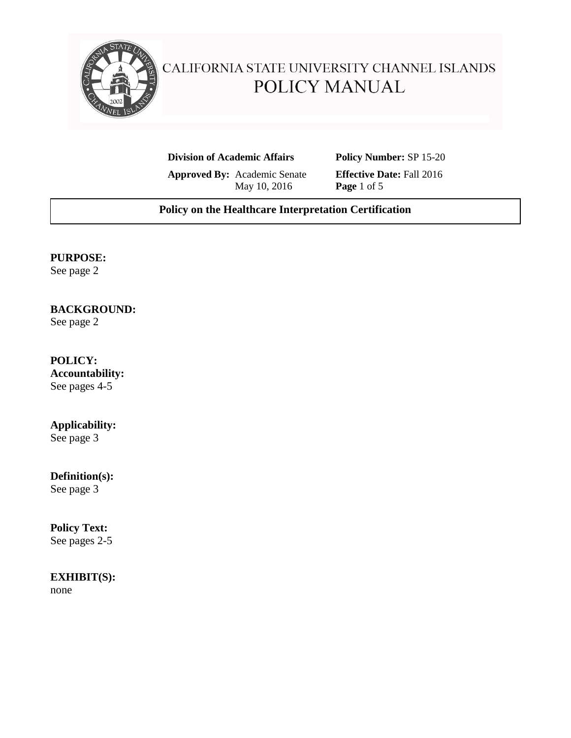

# CALIFORNIA STATE UNIVERSITY CHANNEL ISLANDS POLICY MANUAL

**Division of Academic Affairs Policy Number:** SP 15-20

**Approved By:** Academic Senate **Effective Date:** Fall 2016<br>May 10, 2016 **Page** 1 of 5 May 10, 2016

## **Policy on the Healthcare Interpretation Certification**

## **PURPOSE:**

See page 2

## **BACKGROUND:**

See page 2

## **POLICY:**

**Accountability:**  See pages 4-5

# **Applicability:**

See page 3

## **Definition(s):**

See page 3

## **Policy Text:**

See pages 2-5

# **EXHIBIT(S):**

none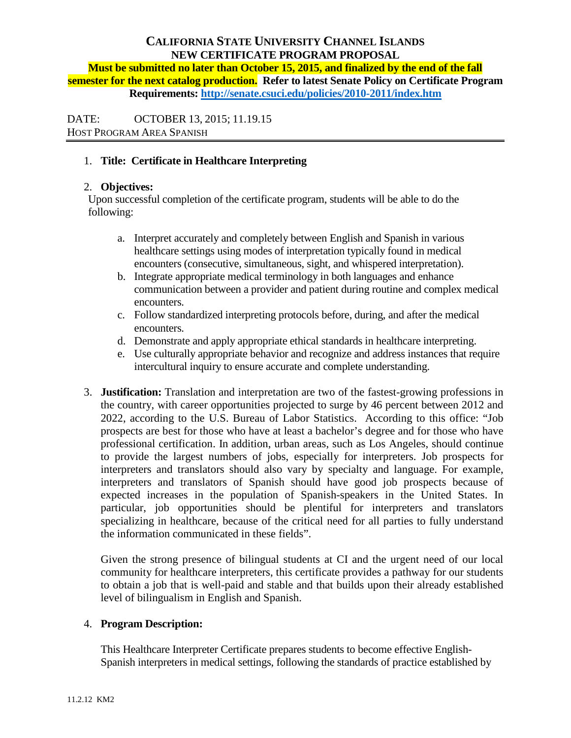# **CALIFORNIA STATE UNIVERSITY CHANNEL ISLANDS NEW CERTIFICATE PROGRAM PROPOSAL**

**Must be submitted no later than October 15, 2015, and finalized by the end of the fall semester for the next catalog production. Refer to latest Senate Policy on Certificate Program Requirements:<http://senate.csuci.edu/policies/2010-2011/index.htm>**

DATE: OCTOBER 13, 2015; 11.19.15 HOST PROGRAM AREA SPANISH

## 1. **Title: Certificate in Healthcare Interpreting**

## 2. **Objectives:**

Upon successful completion of the certificate program, students will be able to do the following:

- a. Interpret accurately and completely between English and Spanish in various healthcare settings using modes of interpretation typically found in medical encounters (consecutive, simultaneous, sight, and whispered interpretation).
- b. Integrate appropriate medical terminology in both languages and enhance communication between a provider and patient during routine and complex medical encounters.
- c. Follow standardized interpreting protocols before, during, and after the medical encounters.
- d. Demonstrate and apply appropriate ethical standards in healthcare interpreting.
- e. Use culturally appropriate behavior and recognize and address instances that require intercultural inquiry to ensure accurate and complete understanding.
- 3. **Justification:** Translation and interpretation are two of the fastest-growing professions in the country, with career opportunities projected to surge by 46 percent between 2012 and 2022, according to the U.S. Bureau of Labor Statistics. According to this office: "Job prospects are best for those who have at least a bachelor's degree and for those who have professional certification. In addition, urban areas, such as Los Angeles, should continue to provide the largest numbers of jobs, especially for interpreters. Job prospects for interpreters and translators should also vary by specialty and language. For example, interpreters and translators of Spanish should have good job prospects because of expected increases in the population of Spanish-speakers in the United States. In particular, job opportunities should be plentiful for interpreters and translators specializing in healthcare, because of the critical need for all parties to fully understand the information communicated in these fields".

Given the strong presence of bilingual students at CI and the urgent need of our local community for healthcare interpreters, this certificate provides a pathway for our students to obtain a job that is well-paid and stable and that builds upon their already established level of bilingualism in English and Spanish.

## 4. **Program Description:**

This Healthcare Interpreter Certificate prepares students to become effective English-Spanish interpreters in medical settings, following the standards of practice established by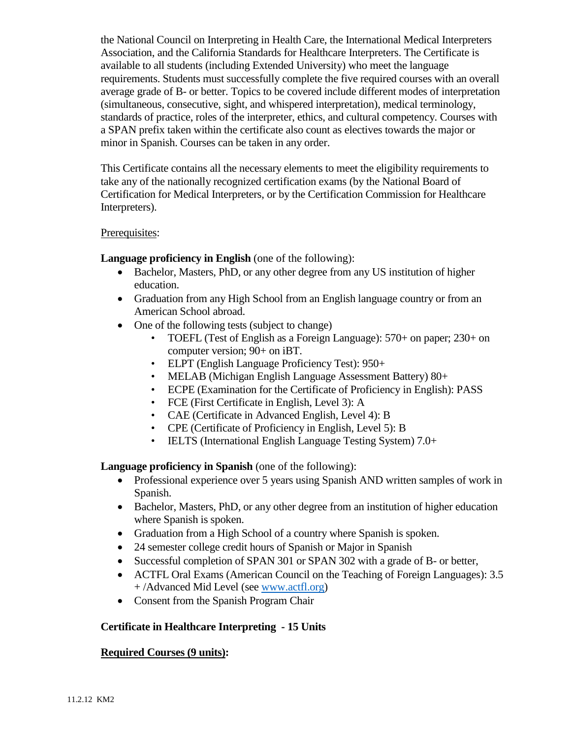the National Council on Interpreting in Health Care, the International Medical Interpreters Association, and the California Standards for Healthcare Interpreters. The Certificate is available to all students (including Extended University) who meet the language requirements. Students must successfully complete the five required courses with an overall average grade of B- or better. Topics to be covered include different modes of interpretation (simultaneous, consecutive, sight, and whispered interpretation), medical terminology, standards of practice, roles of the interpreter, ethics, and cultural competency. Courses with a SPAN prefix taken within the certificate also count as electives towards the major or minor in Spanish. Courses can be taken in any order.

This Certificate contains all the necessary elements to meet the eligibility requirements to take any of the nationally recognized certification exams (by the National Board of Certification for Medical Interpreters, or by the Certification Commission for Healthcare Interpreters).

#### Prerequisites:

**Language proficiency in English** (one of the following):

- Bachelor, Masters, PhD, or any other degree from any US institution of higher education.
- Graduation from any High School from an English language country or from an American School abroad.
- One of the following tests (subject to change)
	- TOEFL (Test of English as a Foreign Language): 570+ on paper; 230+ on computer version; 90+ on iBT.
	- ELPT (English Language Proficiency Test): 950+
	- MELAB (Michigan English Language Assessment Battery) 80+
	- ECPE (Examination for the Certificate of Proficiency in English): PASS
	- FCE (First Certificate in English, Level 3): A
	- CAE (Certificate in Advanced English, Level 4): B
	- CPE (Certificate of Proficiency in English, Level 5): B
	- IELTS (International English Language Testing System) 7.0+

**Language proficiency in Spanish** (one of the following):

- Professional experience over 5 years using Spanish AND written samples of work in Spanish.
- Bachelor, Masters, PhD, or any other degree from an institution of higher education where Spanish is spoken.
- Graduation from a High School of a country where Spanish is spoken.
- 24 semester college credit hours of Spanish or Major in Spanish
- Successful completion of SPAN 301 or SPAN 302 with a grade of B- or better,
- ACTFL Oral Exams (American Council on the Teaching of Foreign Languages): 3.5 + /Advanced Mid Level (see [www.actfl.org\)](http://www.actfl.org/)
- Consent from the Spanish Program Chair

#### **Certificate in Healthcare Interpreting - 15 Units**

## **Required Courses (9 units):**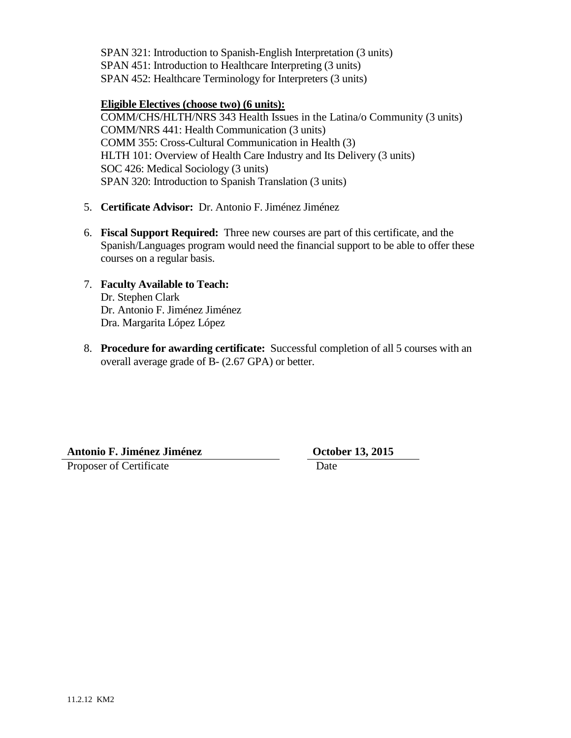SPAN 321: Introduction to Spanish-English Interpretation (3 units) SPAN 451: Introduction to Healthcare Interpreting (3 units) SPAN 452: Healthcare Terminology for Interpreters (3 units)

#### **Eligible Electives (choose two) (6 units):**

COMM/CHS/HLTH/NRS 343 Health Issues in the Latina/o Community (3 units) COMM/NRS 441: Health Communication (3 units) COMM 355: Cross-Cultural Communication in Health (3) HLTH 101: Overview of Health Care Industry and Its Delivery (3 units) SOC 426: Medical Sociology (3 units) SPAN 320: Introduction to Spanish Translation (3 units)

- 5. **Certificate Advisor:** Dr. Antonio F. Jiménez Jiménez
- 6. **Fiscal Support Required:** Three new courses are part of this certificate, and the Spanish/Languages program would need the financial support to be able to offer these courses on a regular basis.
- 7. **Faculty Available to Teach:**  Dr. Stephen Clark Dr. Antonio F. Jiménez Jiménez Dra. Margarita López López
- 8. **Procedure for awarding certificate:** Successful completion of all 5 courses with an overall average grade of B- (2.67 GPA) or better.

**Antonio F. Jiménez Jiménez October 13, 2015** Proposer of Certificate Date